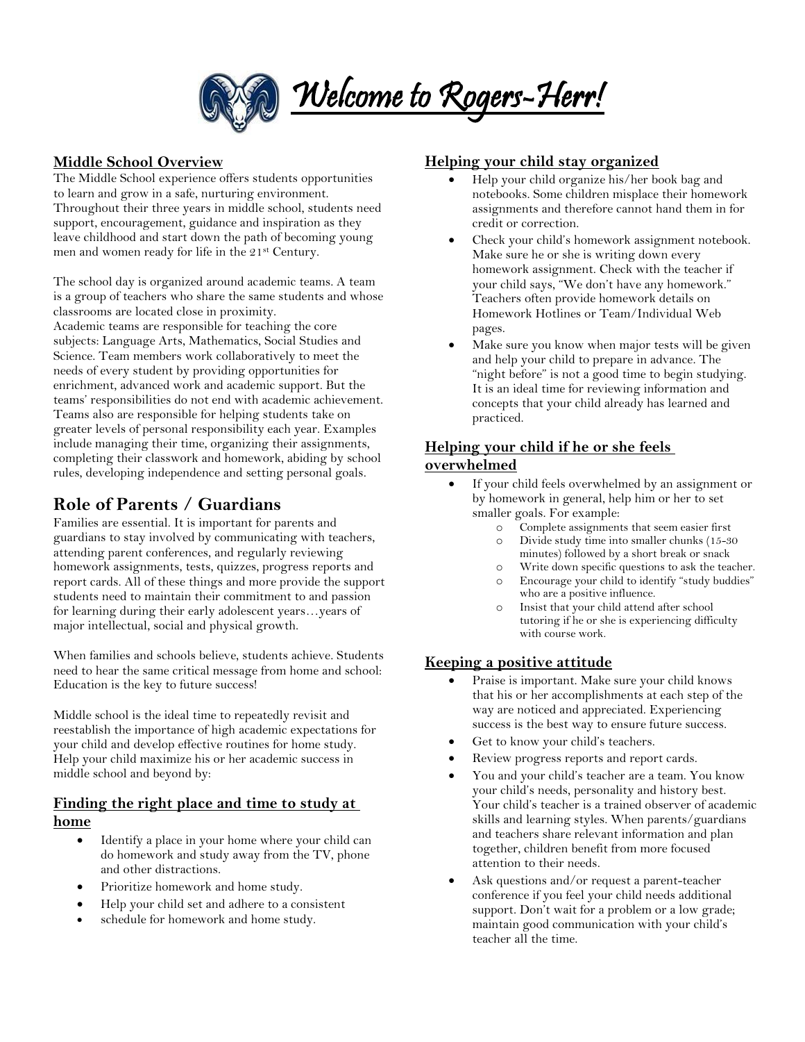

## **Middle School Overview**

The Middle School experience offers students opportunities to learn and grow in a safe, nurturing environment. Throughout their three years in middle school, students need support, encouragement, guidance and inspiration as they leave childhood and start down the path of becoming young men and women ready for life in the 21st Century.

The school day is organized around academic teams. A team is a group of teachers who share the same students and whose classrooms are located close in proximity. Academic teams are responsible for teaching the core subjects: Language Arts, Mathematics, Social Studies and Science. Team members work collaboratively to meet the needs of every student by providing opportunities for enrichment, advanced work and academic support. But the teams' responsibilities do not end with academic achievement. Teams also are responsible for helping students take on greater levels of personal responsibility each year. Examples include managing their time, organizing their assignments, completing their classwork and homework, abiding by school rules, developing independence and setting personal goals.

## **Role of Parents / Guardians**

Families are essential. It is important for parents and guardians to stay involved by communicating with teachers, attending parent conferences, and regularly reviewing homework assignments, tests, quizzes, progress reports and report cards. All of these things and more provide the support students need to maintain their commitment to and passion for learning during their early adolescent years…years of major intellectual, social and physical growth.

When families and schools believe, students achieve. Students need to hear the same critical message from home and school: Education is the key to future success!

Middle school is the ideal time to repeatedly revisit and reestablish the importance of high academic expectations for your child and develop effective routines for home study. Help your child maximize his or her academic success in middle school and beyond by:

#### **Finding the right place and time to study at home**

- Identify a place in your home where your child can do homework and study away from the TV, phone and other distractions.
- Prioritize homework and home study.
- Help your child set and adhere to a consistent
- schedule for homework and home study.

## **Helping your child stay organized**

- Help your child organize his/her book bag and notebooks. Some children misplace their homework assignments and therefore cannot hand them in for credit or correction.
- Check your child's homework assignment notebook. Make sure he or she is writing down every homework assignment. Check with the teacher if your child says, "We don't have any homework." Teachers often provide homework details on Homework Hotlines or Team/Individual Web pages.
- Make sure you know when major tests will be given and help your child to prepare in advance. The "night before" is not a good time to begin studying. It is an ideal time for reviewing information and concepts that your child already has learned and practiced.

#### **Helping your child if he or she feels overwhelmed**

- If your child feels overwhelmed by an assignment or by homework in general, help him or her to set smaller goals. For example:
	- o Complete assignments that seem easier first
	- o Divide study time into smaller chunks (15-30 minutes) followed by a short break or snack
	- o Write down specific questions to ask the teacher.
	- o Encourage your child to identify "study buddies" who are a positive influence.
	- o Insist that your child attend after school tutoring if he or she is experiencing difficulty with course work.

#### **Keeping a positive attitude**

- Praise is important. Make sure your child knows that his or her accomplishments at each step of the way are noticed and appreciated. Experiencing success is the best way to ensure future success.
- Get to know your child's teachers.
- Review progress reports and report cards.
- You and your child's teacher are a team. You know your child's needs, personality and history best. Your child's teacher is a trained observer of academic skills and learning styles. When parents/guardians and teachers share relevant information and plan together, children benefit from more focused attention to their needs.
- Ask questions and/or request a parent-teacher conference if you feel your child needs additional support. Don't wait for a problem or a low grade; maintain good communication with your child's teacher all the time.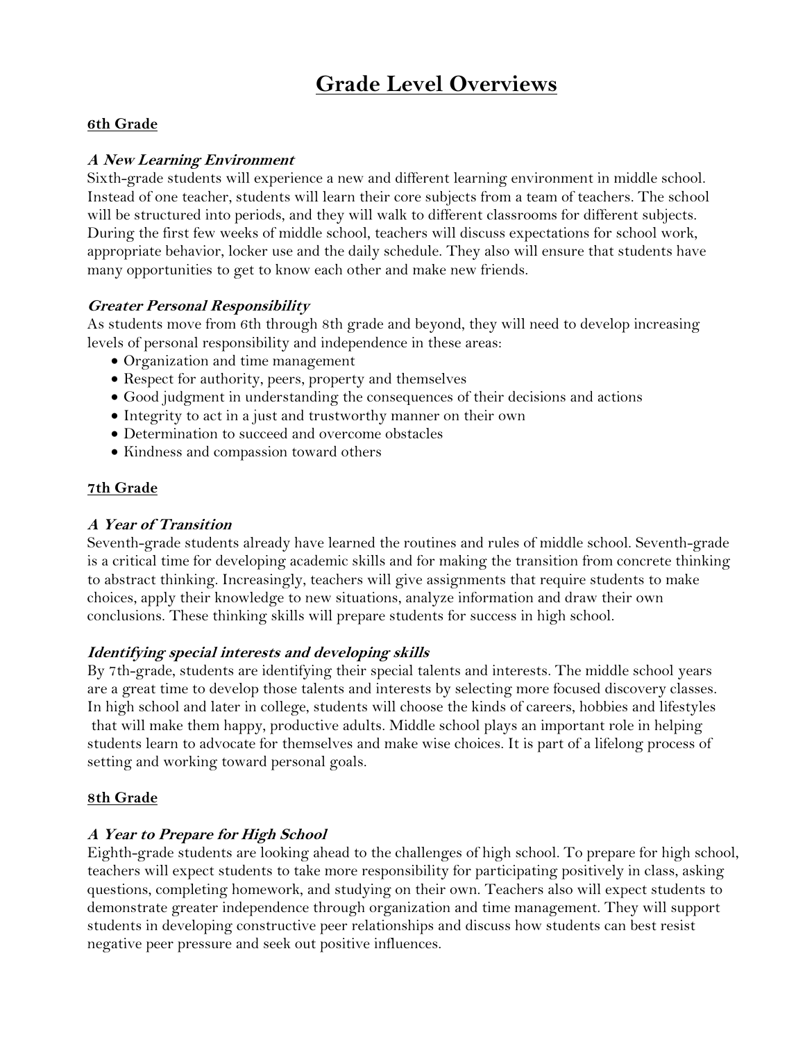# **Grade Level Overviews**

## **6th Grade**

## **A New Learning Environment**

Sixth-grade students will experience a new and different learning environment in middle school. Instead of one teacher, students will learn their core subjects from a team of teachers. The school will be structured into periods, and they will walk to different classrooms for different subjects. During the first few weeks of middle school, teachers will discuss expectations for school work, appropriate behavior, locker use and the daily schedule. They also will ensure that students have many opportunities to get to know each other and make new friends.

#### **Greater Personal Responsibility**

As students move from 6th through 8th grade and beyond, they will need to develop increasing levels of personal responsibility and independence in these areas:

- Organization and time management
- Respect for authority, peers, property and themselves
- Good judgment in understanding the consequences of their decisions and actions
- Integrity to act in a just and trustworthy manner on their own
- Determination to succeed and overcome obstacles
- Kindness and compassion toward others

## **7th Grade**

## **A Year of Transition**

Seventh-grade students already have learned the routines and rules of middle school. Seventh-grade is a critical time for developing academic skills and for making the transition from concrete thinking to abstract thinking. Increasingly, teachers will give assignments that require students to make choices, apply their knowledge to new situations, analyze information and draw their own conclusions. These thinking skills will prepare students for success in high school.

#### **Identifying special interests and developing skills**

By 7th-grade, students are identifying their special talents and interests. The middle school years are a great time to develop those talents and interests by selecting more focused discovery classes. In high school and later in college, students will choose the kinds of careers, hobbies and lifestyles that will make them happy, productive adults. Middle school plays an important role in helping students learn to advocate for themselves and make wise choices. It is part of a lifelong process of setting and working toward personal goals.

#### **8th Grade**

#### **A Year to Prepare for High School**

Eighth-grade students are looking ahead to the challenges of high school. To prepare for high school, teachers will expect students to take more responsibility for participating positively in class, asking questions, completing homework, and studying on their own. Teachers also will expect students to demonstrate greater independence through organization and time management. They will support students in developing constructive peer relationships and discuss how students can best resist negative peer pressure and seek out positive influences.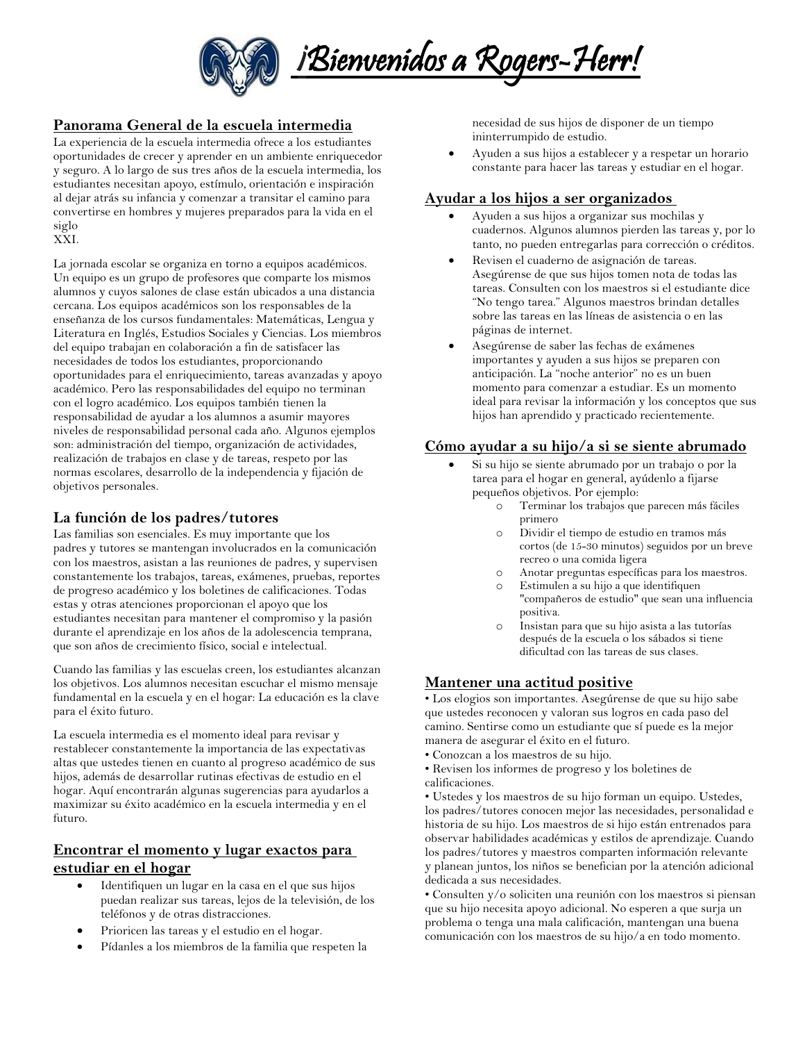

## **Panorama General de la escuela intermedia**

La experiencia de la escuela intermedia ofrece a los estudiantes oportunidades de crecer y aprender en un ambiente enriquecedor y seguro. A lo largo de sus tres años de la escuela intermedia, los estudiantes necesitan apoyo, estímulo, orientación e inspiración al dejar atrás su infancia y comenzar a transitar el camino para convertirse en hombres y mujeres preparados para la vida en el siglo

#### XXI.

La jornada escolar se organiza en torno a equipos académicos. Un equipo es un grupo de profesores que comparte los mismos alumnos y cuyos salones de clase están ubicados a una distancia cercana. Los equipos académicos son los responsables de la enseñanza de los cursos fundamentales: Matemáticas, Lengua y Literatura en Inglés, Estudios Sociales y Ciencias. Los miembros del equipo trabajan en colaboración a fin de satisfacer las necesidades de todos los estudiantes, proporcionando oportunidades para el enriquecimiento, tareas avanzadas y apoyo académico. Pero las responsabilidades del equipo no terminan con el logro académico. Los equipos también tienen la responsabilidad de ayudar a los alumnos a asumir mayores niveles de responsabilidad personal cada año. Algunos ejemplos son: administración del tiempo, organización de actividades, realización de trabajos en clase y de tareas, respeto por las normas escolares, desarrollo de la independencia y fijación de objetivos personales.

#### **La función de los padres/tutores**

Las familias son esenciales. Es muy importante que los padres y tutores se mantengan involucrados en la comunicación con los maestros, asistan a las reuniones de padres, y supervisen constantemente los trabajos, tareas, exámenes, pruebas, reportes de progreso académico y los boletines de calificaciones. Todas estas y otras atenciones proporcionan el apoyo que los estudiantes necesitan para mantener el compromiso y la pasión durante el aprendizaje en los años de la adolescencia temprana, que son años de crecimiento físico, social e intelectual.

Cuando las familias y las escuelas creen, los estudiantes alcanzan los objetivos. Los alumnos necesitan escuchar el mismo mensaje fundamental en la escuela y en el hogar: La educación es la clave para el éxito futuro.

La escuela intermedia es el momento ideal para revisar y restablecer constantemente la importancia de las expectativas altas que ustedes tienen en cuanto al progreso académico de sus hijos, además de desarrollar rutinas efectivas de estudio en el hogar. Aquí encontrarán algunas sugerencias para ayudarlos a maximizar su éxito académico en la escuela intermedia y en el futuro.

#### **Encontrar el momento y lugar exactos para estudiar en el hogar**

- Identifiquen un lugar en la casa en el que sus hijos puedan realizar sus tareas, lejos de la televisión, de los teléfonos y de otras distracciones.
- Prioricen las tareas y el estudio en el hogar.
- Pídanles a los miembros de la familia que respeten la

necesidad de sus hijos de disponer de un tiempo ininterrumpido de estudio.

 Ayuden a sus hijos a establecer y a respetar un horario constante para hacer las tareas y estudiar en el hogar.

#### **Ayudar a los hijos a ser organizados**

- Ayuden a sus hijos a organizar sus mochilas y cuadernos. Algunos alumnos pierden las tareas y, por lo tanto, no pueden entregarlas para corrección o créditos.
- Revisen el cuaderno de asignación de tareas. Asegúrense de que sus hijos tomen nota de todas las tareas. Consulten con los maestros si el estudiante dice "No tengo tarea." Algunos maestros brindan detalles sobre las tareas en las líneas de asistencia o en las páginas de internet.
- Asegúrense de saber las fechas de exámenes importantes y ayuden a sus hijos se preparen con anticipación. La "noche anterior" no es un buen momento para comenzar a estudiar. Es un momento ideal para revisar la información y los conceptos que sus hijos han aprendido y practicado recientemente.

#### **Cómo ayudar a su hijo/a si se siente abrumado**

- Si su hijo se siente abrumado por un trabajo o por la tarea para el hogar en general, ayúdenlo a fijarse pequeños objetivos. Por ejemplo:
	- Terminar los trabajos que parecen más fáciles primero
	- o Dividir el tiempo de estudio en tramos más cortos (de 15-30 minutos) seguidos por un breve recreo o una comida ligera
	- o Anotar preguntas específicas para los maestros.
	- Estimulen a su hijo a que identifiquen "compañeros de estudio" que sean una influencia positiva.
	- o Insistan para que su hijo asista a las tutorías después de la escuela o los sábados si tiene dificultad con las tareas de sus clases.

#### **Mantener una actitud positive**

• Los elogios son importantes. Asegúrense de que su hijo sabe que ustedes reconocen y valoran sus logros en cada paso del camino. Sentirse como un estudiante que sí puede es la mejor manera de asegurar el éxito en el futuro.

- Conozcan a los maestros de su hijo.
- Revisen los informes de progreso y los boletines de calificaciones.

• Ustedes y los maestros de su hijo forman un equipo. Ustedes, los padres/tutores conocen mejor las necesidades, personalidad e historia de su hijo. Los maestros de si hijo están entrenados para observar habilidades académicas y estilos de aprendizaje. Cuando los padres/tutores y maestros comparten información relevante y planean juntos, los niños se benefician por la atención adicional dedicada a sus necesidades.

• Consulten y/o soliciten una reunión con los maestros si piensan que su hijo necesita apoyo adicional. No esperen a que surja un problema o tenga una mala calificación, mantengan una buena comunicación con los maestros de su hijo/a en todo momento.